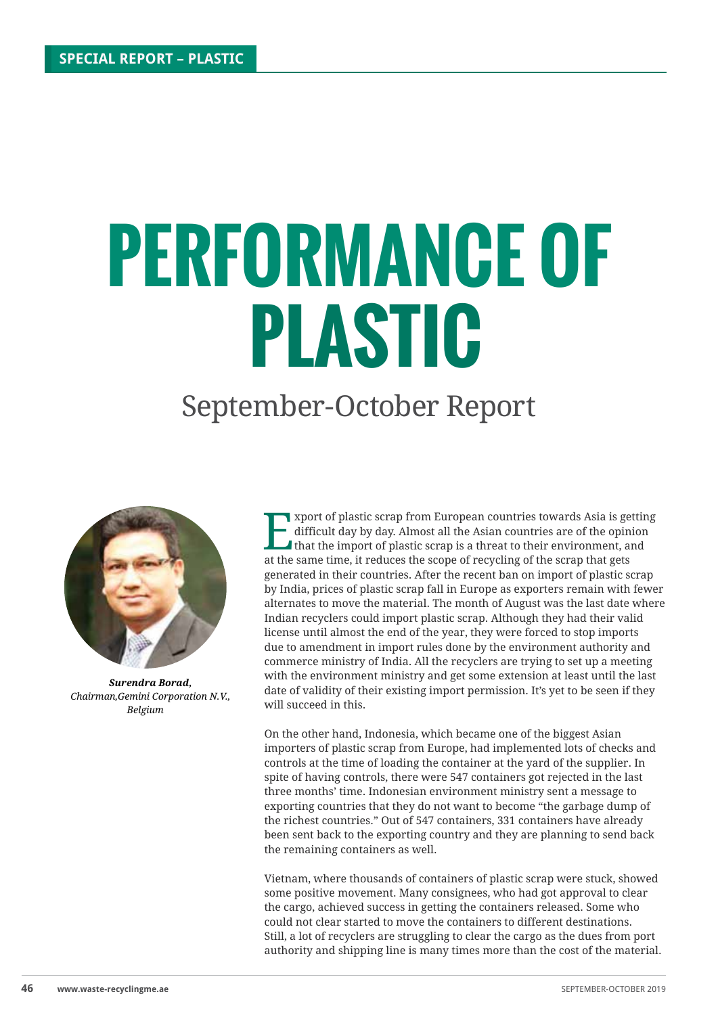## **PERFORMANCE OF PLASTIC**

## September-October Report



*Surendra Borad, Chairman,Gemini Corporation N.V., Belgium*

**Export of plastic scrap from European countries towards Asia is getting difficult day by day. Almost all the Asian countries are of the opinion that the import of plastic scrap is a threat to their environment, and at the** difficult day by day. Almost all the Asian countries are of the opinion at the same time, it reduces the scope of recycling of the scrap that gets generated in their countries. After the recent ban on import of plastic scrap by India, prices of plastic scrap fall in Europe as exporters remain with fewer alternates to move the material. The month of August was the last date where Indian recyclers could import plastic scrap. Although they had their valid license until almost the end of the year, they were forced to stop imports due to amendment in import rules done by the environment authority and commerce ministry of India. All the recyclers are trying to set up a meeting with the environment ministry and get some extension at least until the last date of validity of their existing import permission. It's yet to be seen if they will succeed in this.

On the other hand, Indonesia, which became one of the biggest Asian importers of plastic scrap from Europe, had implemented lots of checks and controls at the time of loading the container at the yard of the supplier. In spite of having controls, there were 547 containers got rejected in the last three months' time. Indonesian environment ministry sent a message to exporting countries that they do not want to become "the garbage dump of the richest countries." Out of 547 containers, 331 containers have already been sent back to the exporting country and they are planning to send back the remaining containers as well.

Vietnam, where thousands of containers of plastic scrap were stuck, showed some positive movement. Many consignees, who had got approval to clear the cargo, achieved success in getting the containers released. Some who could not clear started to move the containers to different destinations. Still, a lot of recyclers are struggling to clear the cargo as the dues from port authority and shipping line is many times more than the cost of the material.